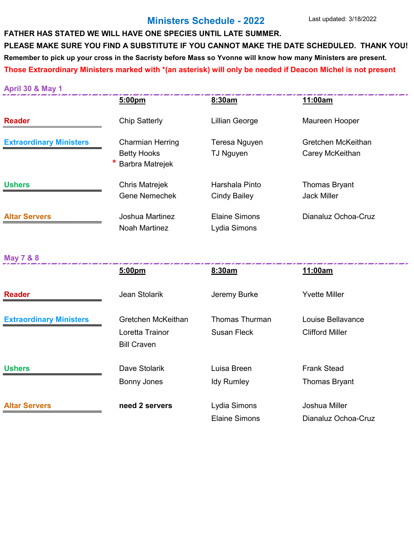#### **Ministers Schedule - 2022**

# **FATHER HAS STATED WE WILL HAVE ONE SPECIES UNTIL LATE SUMMER. PLEASE MAKE SURE YOU FIND A SUBSTITUTE IF YOU CANNOT MAKE THE DATE SCHEDULED. THANK YOU! Remember to pick up your cross in the Sacristy before Mass so Yvonne will know how many Ministers are present. Those Extraordinary Ministers marked with \*(an asterisk) will only be needed if Deacon Michel is not present**

| <b>April 30 &amp; May 1</b>    |                                                                         |                                             |                                             |
|--------------------------------|-------------------------------------------------------------------------|---------------------------------------------|---------------------------------------------|
|                                | 5:00pm                                                                  | 8:30am                                      | 11:00am                                     |
| <b>Reader</b>                  | <b>Chip Satterly</b>                                                    | <b>Lillian George</b>                       | Maureen Hooper                              |
| <b>Extraordinary Ministers</b> | <b>Charmian Herring</b><br><b>Betty Hooks</b><br><b>Barbra Matrejek</b> | Teresa Nguyen<br><b>TJ Nguyen</b>           | Gretchen McKeithan<br>Carey McKeithan       |
| <b>Ushers</b>                  | <b>Chris Matrejek</b><br><b>Gene Nemechek</b>                           | Harshala Pinto<br><b>Cindy Bailey</b>       | <b>Thomas Bryant</b><br><b>Jack Miller</b>  |
| <b>Altar Servers</b>           | Joshua Martinez<br><b>Noah Martinez</b>                                 | <b>Elaine Simons</b><br>Lydia Simons        | Dianaluz Ochoa-Cruz                         |
| <b>May 7 &amp; 8</b>           |                                                                         |                                             |                                             |
|                                | 5:00pm                                                                  | 8:30am                                      | 11:00am                                     |
| <b>Reader</b>                  | Jean Stolarik                                                           | Jeremy Burke                                | <b>Yvette Miller</b>                        |
| <b>Extraordinary Ministers</b> | Gretchen McKeithan<br>Loretta Trainor<br><b>Bill Craven</b>             | <b>Thomas Thurman</b><br><b>Susan Fleck</b> | Louise Bellavance<br><b>Clifford Miller</b> |
| <b>Ushers</b>                  | Dave Stolarik                                                           | Luisa Breen                                 | <b>Frank Stead</b>                          |
|                                | <b>Bonny Jones</b>                                                      | <b>Idy Rumley</b>                           | <b>Thomas Bryant</b>                        |
| <b>Altar Servers</b>           | need 2 servers                                                          | Lydia Simons                                | Joshua Miller                               |
|                                |                                                                         | <b>Elaine Simons</b>                        | Dianaluz Ochoa-Cruz                         |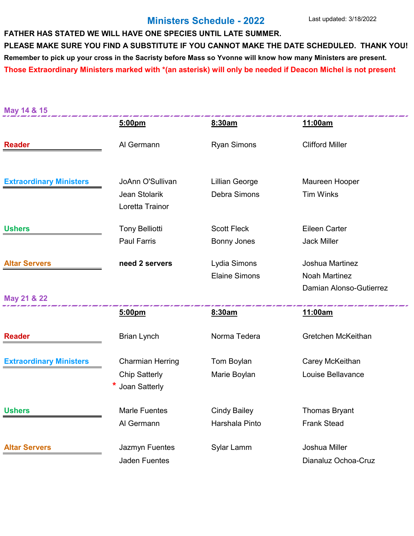#### **Ministers Schedule - 2022**

# **FATHER HAS STATED WE WILL HAVE ONE SPECIES UNTIL LATE SUMMER. PLEASE MAKE SURE YOU FIND A SUBSTITUTE IF YOU CANNOT MAKE THE DATE SCHEDULED. THANK YOU! Remember to pick up your cross in the Sacristy before Mass so Yvonne will know how many Ministers are present. Those Extraordinary Ministers marked with \*(an asterisk) will only be needed if Deacon Michel is not present**

**May 14 & 15**

|                                | 5:00pm                                                           | 8:30am                                   | 11:00am                                    |
|--------------------------------|------------------------------------------------------------------|------------------------------------------|--------------------------------------------|
| <b>Reader</b>                  | Al Germann                                                       | <b>Ryan Simons</b>                       | <b>Clifford Miller</b>                     |
| <b>Extraordinary Ministers</b> | JoAnn O'Sullivan<br>Jean Stolarik<br>Loretta Trainor             | <b>Lillian George</b><br>Debra Simons    | Maureen Hooper<br><b>Tim Winks</b>         |
| <b>Ushers</b>                  | <b>Tony Belliotti</b><br><b>Paul Farris</b>                      | <b>Scott Fleck</b><br><b>Bonny Jones</b> | <b>Eileen Carter</b><br><b>Jack Miller</b> |
| <b>Altar Servers</b>           | need 2 servers                                                   | Lydia Simons<br><b>Elaine Simons</b>     | Joshua Martinez<br><b>Noah Martinez</b>    |
| May 21 & 22                    |                                                                  |                                          | Damian Alonso-Gutierrez                    |
|                                |                                                                  |                                          |                                            |
|                                | 5:00pm                                                           | 8:30am                                   | 11:00am                                    |
| <b>Reader</b>                  | <b>Brian Lynch</b>                                               | Norma Tedera                             | Gretchen McKeithan                         |
| <b>Extraordinary Ministers</b> | <b>Charmian Herring</b><br><b>Chip Satterly</b><br>Joan Satterly | Tom Boylan<br>Marie Boylan               | Carey McKeithan<br>Louise Bellavance       |
| <b>Ushers</b>                  | <b>Marle Fuentes</b><br>Al Germann                               | <b>Cindy Bailey</b><br>Harshala Pinto    | <b>Thomas Bryant</b><br><b>Frank Stead</b> |